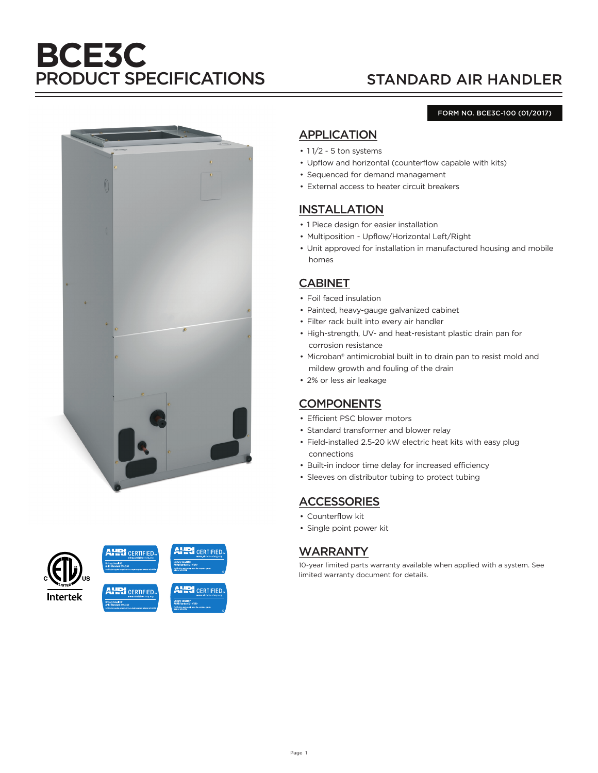# **BCE3C** PRODUCT SPECIFICATIONS STANDARD AIR HANDLER

#### FORM NO. BCE3C-100 (01/2017)





# APPLICATION

- 11/2 5 ton systems
- Upflow and horizontal (counterflow capable with kits)
- Sequenced for demand management
- External access to heater circuit breakers

#### INSTALLATION

- 1 Piece design for easier installation
- Multiposition Upflow/Horizontal Left/Right
- Unit approved for installation in manufactured housing and mobile homes

## CABINET

- Foil faced insulation
- Painted, heavy-gauge galvanized cabinet
- Filter rack built into every air handler
- High-strength, UV- and heat-resistant plastic drain pan for corrosion resistance
- Microban® antimicrobial built in to drain pan to resist mold and mildew growth and fouling of the drain
- 2% or less air leakage

# **COMPONENTS**

- Efficient PSC blower motors
- Standard transformer and blower relay
- Field-installed 2.5-20 kW electric heat kits with easy plug connections
- Built-in indoor time delay for increased efficiency
- Sleeves on distributor tubing to protect tubing

### **ACCESSORIES**

- Counterflow kit
- Single point power kit

#### WARRANTY

10-year limited parts warranty available when applied with a system. See limited warranty document for details.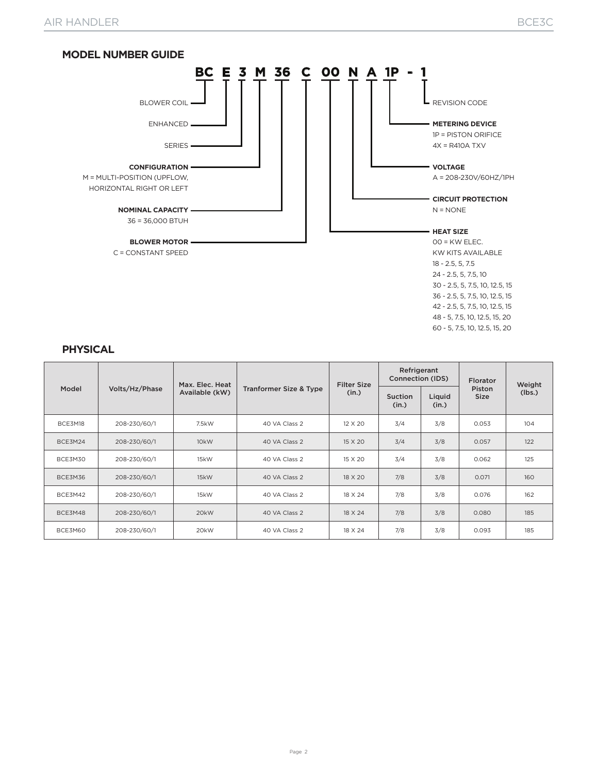

#### **PHYSICAL**

| Model   | Volts/Hz/Phase | Max. Elec. Heat<br>Available (kW) |                                   | <b>Filter Size</b> | Refrigerant<br>Connection (IDS) |                 | <b>Florator</b>       | Weight<br>(lbs.) |
|---------|----------------|-----------------------------------|-----------------------------------|--------------------|---------------------------------|-----------------|-----------------------|------------------|
|         |                |                                   | <b>Tranformer Size &amp; Type</b> | (in.)              | <b>Suction</b><br>(in.)         | Liquid<br>(in.) | Piston<br><b>Size</b> |                  |
| BCE3M18 | 208-230/60/1   | 7.5kW                             | 40 VA Class 2                     | 12 X 20            | 3/4                             | 3/8             | 0.053                 | 104              |
| BCE3M24 | 208-230/60/1   | 10 <sub>k</sub> W                 | 40 VA Class 2                     | 15 X 20            | 3/4                             | 3/8             | 0.057                 | 122              |
| BCE3M30 | 208-230/60/1   | 15kW                              | 40 VA Class 2                     | 15 X 20            | 3/4                             | 3/8             | 0.062                 | 125              |
| BCE3M36 | 208-230/60/1   | 15kW                              | 40 VA Class 2                     | 18 X 20            | 7/8                             | 3/8             | 0.071                 | 160              |
| BCE3M42 | 208-230/60/1   | 15kW                              | 40 VA Class 2                     | 18 X 24            | 7/8                             | 3/8             | 0.076                 | 162              |
| BCE3M48 | 208-230/60/1   | 20kW                              | 40 VA Class 2                     | 18 X 24            | 7/8                             | 3/8             | 0.080                 | 185              |
| BCE3M60 | 208-230/60/1   | 20kW                              | 40 VA Class 2                     | 18 X 24            | 7/8                             | 3/8             | 0.093                 | 185              |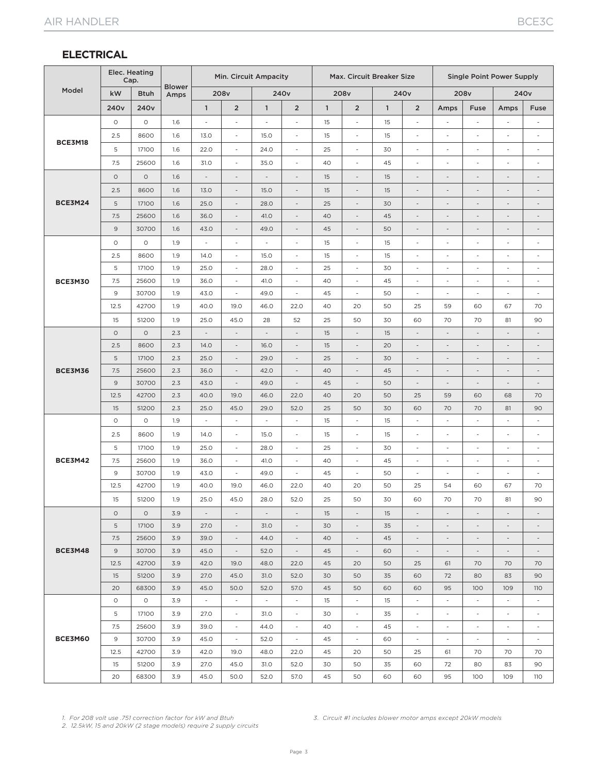### **ELECTRICAL**

|                | Elec. Heating<br>Cap. |                  |                       | Min. Circuit Ampacity    |                                                      |                          | Max. Circuit Breaker Size                            |              |                                                      |              | <b>Single Point Power Supply</b>                     |                               |                                                      |                                                      |                                                      |
|----------------|-----------------------|------------------|-----------------------|--------------------------|------------------------------------------------------|--------------------------|------------------------------------------------------|--------------|------------------------------------------------------|--------------|------------------------------------------------------|-------------------------------|------------------------------------------------------|------------------------------------------------------|------------------------------------------------------|
| Model          | kW                    | <b>Btuh</b>      | <b>Blower</b><br>Amps |                          | 208v                                                 |                          | 240 <sub>v</sub>                                     |              | 208v                                                 |              | 240 <sub>v</sub>                                     |                               | 208v                                                 |                                                      | 240 <sub>v</sub>                                     |
|                | 240 <sub>v</sub>      | 240 <sub>v</sub> |                       | $\mathbf{1}$             | $\overline{2}$                                       | $\mathbf{1}$             | $\overline{2}$                                       | $\mathbf{1}$ | $\overline{2}$                                       | $\mathbf{1}$ | $\overline{2}$                                       | Amps                          | Fuse                                                 | Amps                                                 | Fuse                                                 |
|                | $\circ$               | $\circ$          | 1.6                   | L,                       | ٠                                                    | Ĭ.                       | ÷,                                                   | 15           | ä,                                                   | 15           | ä,                                                   |                               | L,                                                   | ÷,                                                   | $\overline{a}$                                       |
|                | 2.5                   | 8600             | 1.6                   | 13.0                     | $\overline{\phantom{a}}$                             | 15.0                     | $\overline{\phantom{a}}$                             | 15           | ٠                                                    | 15           | $\overline{\phantom{a}}$                             | $\overline{\phantom{a}}$      | ٠                                                    | $\overline{\phantom{a}}$                             | $\overline{\phantom{a}}$                             |
| BCE3M18        | 5                     | 17100            | 1.6                   | 22.0                     | $\overline{\phantom{a}}$                             | 24.0                     | $\overline{\phantom{a}}$                             | 25           | $\overline{\phantom{a}}$                             | 30           | $\overline{\phantom{a}}$                             | $\overline{\phantom{a}}$      | $\overline{a}$                                       | $\overline{\phantom{a}}$                             | $\overline{\phantom{m}}$                             |
|                | 7.5                   | 25600            | 1.6                   | 31.0                     | ÷,                                                   | 35.0                     | $\overline{\phantom{a}}$                             | 40           | $\overline{\phantom{a}}$                             | 45           | $\sim$                                               | Ĭ.                            | Ĭ.                                                   | ÷,                                                   | i,                                                   |
|                | $\circ$               | $\circ$          | 1.6                   | $\overline{\phantom{a}}$ | $\overline{\phantom{a}}$                             |                          | $\overline{\phantom{a}}$                             | 15           | $\overline{\phantom{a}}$                             | 15           | $\overline{\phantom{a}}$                             | $\overline{\phantom{a}}$      | $\overline{a}$                                       | $\overline{\phantom{a}}$                             |                                                      |
|                | 2.5                   | 8600             | 1.6                   | 13.0                     | $\overline{\phantom{a}}$                             | 15.0                     | $\overline{\phantom{a}}$                             | 15           | $\overline{\phantom{a}}$                             | 15           | $\overline{\phantom{a}}$                             | $\overline{\phantom{a}}$      | -                                                    | $\qquad \qquad \blacksquare$                         | $\overline{\phantom{a}}$                             |
| <b>BCE3M24</b> | 5                     | 17100            | 1.6                   | 25.0                     | $\overline{\phantom{a}}$                             | 28.0                     | $\overline{\phantom{a}}$                             | 25           | $\overline{\phantom{a}}$                             | 30           | $\overline{\phantom{a}}$                             | $\overline{\phantom{a}}$      | $\overline{a}$                                       | $\overline{\phantom{a}}$                             | $\overline{\phantom{m}}$                             |
|                | 7.5                   | 25600            | 1.6                   | 36.0                     | $\overline{\phantom{a}}$                             | 41.0                     | $\overline{\phantom{a}}$                             | 40           | $\overline{a}$                                       | 45           | $\overline{\phantom{a}}$                             | $\overline{\phantom{a}}$      | $\overline{a}$                                       | $\overline{\phantom{a}}$                             | $\overline{\phantom{a}}$                             |
|                | 9                     | 30700            | 1.6                   | 43.0                     | $\overline{\phantom{a}}$                             | 49.0                     | $\overline{a}$                                       | 45           | $\overline{\phantom{a}}$                             | 50           | $\overline{\phantom{m}}$                             | $\overline{\phantom{a}}$      | $\overline{a}$                                       | $\overline{a}$                                       | $\overline{\phantom{a}}$                             |
|                | $\circ$               | $\circ$          | 1.9                   | $\overline{\phantom{a}}$ | $\overline{\phantom{a}}$                             | $\overline{\phantom{a}}$ | $\overline{\phantom{a}}$                             | 15           | $\overline{\phantom{a}}$                             | 15           | $\overline{\phantom{a}}$                             | $\overline{\phantom{a}}$      | ÷                                                    | $\overline{\phantom{a}}$                             | $\overline{\phantom{m}}$                             |
|                | 2.5                   | 8600             | 1.9                   | 14.0                     | $\overline{\phantom{a}}$                             | 15.0                     | $\overline{\phantom{a}}$                             | 15           | $\overline{\phantom{a}}$                             | 15           | $\overline{\phantom{a}}$                             | $\overline{\phantom{a}}$      | ÷                                                    | $\overline{\phantom{a}}$                             | $\overline{\phantom{a}}$                             |
|                | $\mathsf S$           | 17100            | 1.9                   | 25.0                     | $\overline{\phantom{a}}$                             | 28.0                     | $\overline{\phantom{a}}$                             | 25           | ä,                                                   | 30           | $\overline{\phantom{a}}$                             | $\overline{\phantom{a}}$      | i,                                                   | ä,                                                   | $\overline{a}$                                       |
| <b>BCE3M30</b> | 7.5                   | 25600            | 1.9                   | 36.0                     | $\overline{\phantom{a}}$                             | 41.0                     | $\sim$                                               | 40           | ÷.                                                   | 45           | $\sim$                                               | ٠                             | ٠                                                    | $\sim$                                               | $\overline{\phantom{a}}$                             |
|                | 9                     | 30700            | 1.9                   | 43.0                     | $\overline{\phantom{a}}$                             | 49.0                     | $\overline{\phantom{a}}$                             | 45           | $\overline{a}$                                       | 50           | $\overline{\phantom{a}}$                             | $\overline{\phantom{a}}$      | $\overline{a}$                                       | $\overline{\phantom{a}}$                             | $\overline{a}$                                       |
|                | 12.5                  | 42700            | 1.9                   | 40.0                     | 19.0                                                 | 46.0                     | 22.0                                                 | 40           | 20                                                   | 50           | 25                                                   | 59                            | 60                                                   | 67                                                   | 70                                                   |
|                | 15                    | 51200            | 1.9                   | 25.0                     | 45.0                                                 | 28                       | 52                                                   | 25           | 50                                                   | 30           | 60                                                   | 70                            | 70                                                   | 81                                                   | 90                                                   |
|                | $\circ$               | $\circ$          | 2.3                   | $\overline{\phantom{a}}$ | $\overline{\phantom{a}}$                             | $\frac{1}{2}$            | $\overline{\phantom{a}}$                             | 15           | $\overline{\phantom{a}}$                             | 15           | $\overline{\phantom{a}}$                             | $\overline{\phantom{a}}$      | $\overline{a}$                                       | $\overline{\phantom{a}}$                             | $\overline{\phantom{a}}$                             |
|                | 2.5                   | 8600             | 2.3                   | 14.0                     | $\overline{\phantom{a}}$                             | 16.0                     | $\overline{\phantom{a}}$                             | 15           | $\overline{\phantom{0}}$                             | 20           | $\overline{\phantom{a}}$                             | $\overline{\phantom{a}}$      | $\overline{\phantom{a}}$                             | $\overline{\phantom{a}}$                             | $\overline{\phantom{a}}$                             |
|                | 5                     | 17100            | 2.3                   | 25.0                     | $\overline{\phantom{a}}$                             | 29.0                     | $\overline{\phantom{a}}$                             | 25           | $\overline{a}$                                       | 30           | $\overline{\phantom{m}}$                             | $\overline{\phantom{a}}$      | $\overline{\phantom{m}}$                             | $\overline{a}$                                       | $\overline{\phantom{a}}$                             |
| <b>BCE3M36</b> | 7.5<br>$\mathsf 9$    | 25600<br>30700   | 2.3<br>2.3            | 36.0<br>43.0             | $\overline{\phantom{a}}$                             | 42.0<br>49.0             | $\overline{a}$<br>$\overline{\phantom{a}}$           | 40<br>45     | $\overline{a}$<br>$\overline{\phantom{a}}$           | 45<br>50     | $\overline{\phantom{m}}$                             | $\overline{\phantom{a}}$      | ÷                                                    | $\overline{a}$<br>$\overline{\phantom{a}}$           | $\overline{a}$<br>$\overline{\phantom{a}}$           |
|                | 12.5                  | 42700            | 2.3                   | 40.0                     | 19.0                                                 | 46.0                     | 22.0                                                 | 40           | 20                                                   | 50           | 25                                                   | 59                            | 60                                                   | 68                                                   | 70                                                   |
|                | 15                    | 51200            | 2.3                   | 25.0                     | 45.0                                                 | 29.0                     | 52.0                                                 | 25           | 50                                                   | 30           | 60                                                   | 70                            | 70                                                   | 81                                                   | 90                                                   |
|                | $\circ$               | $\circ$          | 1.9                   | $\overline{\phantom{a}}$ | ÷,                                                   | ä,                       | $\overline{\phantom{a}}$                             | 15           | ä,                                                   | 15           | ä,                                                   | ÷,                            | i,                                                   | $\overline{\phantom{a}}$                             | $\overline{a}$                                       |
|                | 2.5                   | 8600             | 1.9                   | 14.0                     | $\overline{\phantom{a}}$                             | 15.0                     | $\overline{\phantom{a}}$                             | 15           | ٠                                                    | 15           | ٠                                                    | $\overline{\phantom{a}}$      | ä,                                                   | ٠                                                    | $\overline{\phantom{a}}$                             |
|                | 5                     | 17100            | 1.9                   | 25.0                     | $\overline{\phantom{a}}$                             | 28.0                     | $\overline{\phantom{a}}$                             | 25           | $\overline{\phantom{a}}$                             | 30           | $\overline{\phantom{a}}$                             | $\overline{\phantom{a}}$      | $\overline{\phantom{a}}$                             | $\overline{\phantom{a}}$                             | $\frac{1}{2}$                                        |
| <b>BCE3M42</b> | 7.5                   | 25600            | 1.9                   | 36.0                     | $\overline{\phantom{a}}$                             | 41.0                     | $\overline{\phantom{a}}$                             | 40           | $\overline{\phantom{a}}$                             | 45           | $\overline{\phantom{a}}$                             | $\overline{\phantom{a}}$      | $\overline{a}$                                       | $\overline{\phantom{a}}$                             | $\overline{\phantom{a}}$                             |
|                | 9                     | 30700            | 1.9                   | 43.0                     | $\overline{\phantom{a}}$                             | 49.0                     | $\overline{\phantom{a}}$                             | 45           | $\overline{\phantom{a}}$                             | 50           | $\overline{\phantom{a}}$                             | $\overline{\phantom{a}}$      | ÷,                                                   | ÷,                                                   | $\frac{1}{2}$                                        |
|                | 12.5                  | 42700            | 1.9                   | 40.0                     | 19.0                                                 | 46.0                     | 22.0                                                 | 40           | 20                                                   | 50           | 25                                                   | 54                            | 60                                                   | 67                                                   | 70                                                   |
|                | 15                    | 51200            | 1.9                   | 25.0                     | 45.0                                                 | 28.0                     | 52.0                                                 | 25           | 50                                                   | 30           | 60                                                   | 70                            | 70                                                   | 81                                                   | 90                                                   |
|                | $\circ$               | $\circ$          | 3.9                   | $\overline{\phantom{a}}$ | $\overline{\phantom{a}}$                             | $\overline{\phantom{a}}$ | $\overline{\phantom{a}}$                             | 15           | $\overline{a}$                                       | 15           | $\overline{\phantom{a}}$                             | $\overline{\phantom{a}}$      | $\overline{\phantom{m}}$                             | $\overline{\phantom{a}}$                             | $\overline{\phantom{m}}$                             |
|                | 5                     | 17100            | 3.9                   | 27.0                     | $\overline{\phantom{a}}$                             | 31.0                     | $\overline{\phantom{a}}$                             | 30           | $\overline{a}$                                       | 35           | $\overline{\phantom{a}}$                             | $\overline{\phantom{a}}$      |                                                      | $\overline{\phantom{a}}$                             | $\overline{\phantom{m}}$                             |
|                | 7.5                   | 25600            | 3.9                   | 39.0                     | $\overline{\phantom{a}}$                             | 44.0                     | $\overline{\phantom{a}}$                             | 40           | $\overline{\phantom{a}}$                             | 45           | $\overline{\phantom{a}}$                             | $\overline{\phantom{a}}$      | $\overline{\phantom{a}}$                             | $\overline{\phantom{a}}$                             | $\overline{\phantom{a}}$                             |
| BCE3M48        | $\overline{9}$        | 30700            | 3.9                   | 45.0                     | $\overline{\phantom{a}}$                             | 52.0                     | $\overline{\phantom{a}}$                             | 45           | $\overline{\phantom{a}}$                             | 60           | $\overline{\phantom{a}}$                             | $\overline{\phantom{a}}$      | $\overline{\phantom{a}}$                             | $\overline{\phantom{a}}$                             | $\overline{\phantom{a}}$                             |
|                | 12.5                  | 42700            | 3.9                   | 42.0                     | 19.0                                                 | 48.0                     | 22.0                                                 | 45           | 20                                                   | 50           | 25                                                   | 61                            | 70                                                   | 70                                                   | 70                                                   |
|                | 15                    | 51200            | 3.9                   | 27.0                     | 45.0                                                 | 31.0                     | 52.0                                                 | 30           | 50                                                   | 35           | 60                                                   | 72                            | 80                                                   | 83                                                   | 90                                                   |
|                | 20                    | 68300            | 3.9                   | 45.0                     | 50.0                                                 | 52.0                     | 57.0                                                 | 45           | 50                                                   | 60           | 60                                                   | 95                            | 100                                                  | 109                                                  | <b>110</b>                                           |
|                | $\circ$               | $\circ$          | 3.9                   | $\sim$                   | $\overline{\phantom{a}}$                             | $\sim$                   | $\sim$                                               | 15           | $\sim$                                               | 15           | $\overline{\phantom{a}}$                             | $\overline{\phantom{a}}$      | $\overline{\phantom{a}}$                             | $\sim$                                               | $\overline{\phantom{a}}$                             |
|                | 5                     | 17100            | 3.9                   | 27.0                     | $\overline{\phantom{a}}$                             | 31.0                     | $\overline{\phantom{a}}$                             | 30           | $\overline{\phantom{a}}$                             | 35           | $\overline{\phantom{a}}$                             | $\overline{\phantom{a}}$      | $\overline{\phantom{a}}$                             | $\overline{\phantom{a}}$                             | $\overline{\phantom{a}}$                             |
| BCE3M60        | 7.5<br>9              | 25600<br>30700   | 3.9<br>3.9            | 39.0<br>45.0             | $\overline{\phantom{a}}$<br>$\overline{\phantom{a}}$ | 44.0<br>52.0             | $\overline{\phantom{a}}$<br>$\overline{\phantom{a}}$ | 40<br>45     | $\overline{\phantom{a}}$<br>$\overline{\phantom{a}}$ | 45<br>60     | $\overline{\phantom{a}}$<br>$\overline{\phantom{a}}$ | $\overline{\phantom{a}}$<br>٠ | $\overline{\phantom{a}}$<br>$\overline{\phantom{a}}$ | $\overline{\phantom{a}}$<br>$\overline{\phantom{a}}$ | $\overline{\phantom{a}}$<br>$\overline{\phantom{a}}$ |
|                | 12.5                  | 42700            | 3.9                   | 42.0                     | 19.0                                                 | 48.0                     | 22.0                                                 | 45           | 20                                                   | 50           | 25                                                   | 61                            | 70                                                   | 70                                                   | 70                                                   |
|                | 15                    | 51200            | 3.9                   | 27.0                     | 45.0                                                 | 31.0                     | 52.0                                                 | 30           | 50                                                   | 35           | 60                                                   | 72                            | 80                                                   | 83                                                   | 90                                                   |
|                | 20                    | 68300            | 3.9                   | 45.0                     | 50.0                                                 | 52.0                     | 57.0                                                 | 45           | 50                                                   | 60           | 60                                                   | 95                            | 100                                                  | 109                                                  | 110                                                  |

*1. For 208 volt use .751 correction factor for kW and Btuh*

*3. Circuit #1 includes blower motor amps except 20kW models*

*2. 12.5kW, 15 and 20kW (2 stage models) require 2 supply circuits*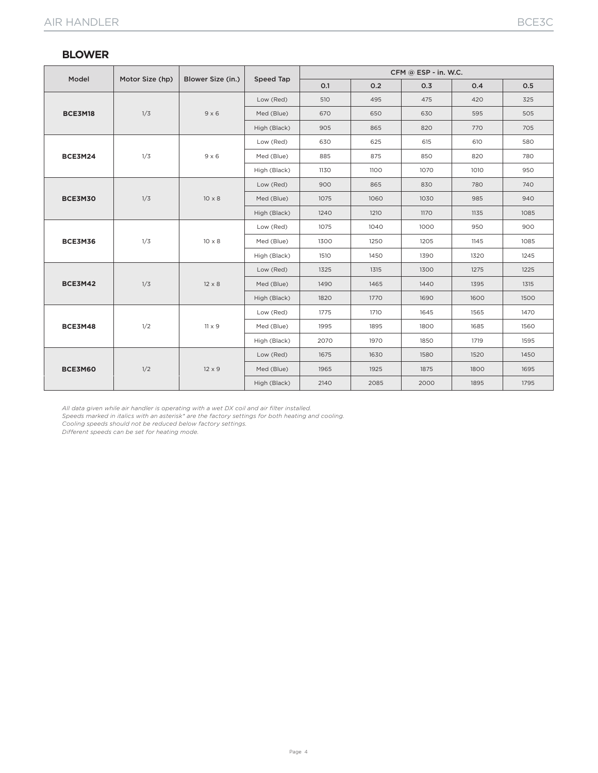#### **BLOWER**

|                |                 |                   | Speed Tap    | CFM @ ESP - in. W.C. |      |      |      |      |  |  |
|----------------|-----------------|-------------------|--------------|----------------------|------|------|------|------|--|--|
| Model          | Motor Size (hp) | Blower Size (in.) |              | 0.1                  | 0.2  | 0.3  | 0.4  | 0.5  |  |  |
|                |                 |                   | Low (Red)    | 510                  | 495  | 475  | 420  | 325  |  |  |
| BCE3M18        | 1/3             | $9 \times 6$      | Med (Blue)   | 670                  | 650  | 630  | 595  | 505  |  |  |
|                |                 |                   | High (Black) | 905                  | 865  | 820  | 770  | 705  |  |  |
|                |                 | $9 \times 6$      | Low (Red)    | 630                  | 625  | 615  | 610  | 580  |  |  |
| BCE3M24        | 1/3             |                   | Med (Blue)   | 885                  | 875  | 850  | 820  | 780  |  |  |
|                |                 |                   | High (Black) | 1130                 | 1100 | 1070 | 1010 | 950  |  |  |
|                |                 | $10 \times 8$     | Low (Red)    | 900                  | 865  | 830  | 780  | 740  |  |  |
| BCE3M30        | 1/3             |                   | Med (Blue)   | 1075                 | 1060 | 1030 | 985  | 940  |  |  |
|                |                 |                   | High (Black) | 1240                 | 1210 | 1170 | 1135 | 1085 |  |  |
|                |                 | $10 \times 8$     | Low (Red)    | 1075                 | 1040 | 1000 | 950  | 900  |  |  |
| BCE3M36        | 1/3             |                   | Med (Blue)   | 1300                 | 1250 | 1205 | 1145 | 1085 |  |  |
|                |                 |                   | High (Black) | 1510                 | 1450 | 1390 | 1320 | 1245 |  |  |
|                |                 | $12 \times 8$     | Low (Red)    | 1325                 | 1315 | 1300 | 1275 | 1225 |  |  |
| <b>BCE3M42</b> | 1/3             |                   | Med (Blue)   | 1490                 | 1465 | 1440 | 1395 | 1315 |  |  |
|                |                 |                   | High (Black) | 1820                 | 1770 | 1690 | 1600 | 1500 |  |  |
|                |                 | $11 \times 9$     | Low (Red)    | 1775                 | 1710 | 1645 | 1565 | 1470 |  |  |
| <b>BCE3M48</b> | 1/2             |                   | Med (Blue)   | 1995                 | 1895 | 1800 | 1685 | 1560 |  |  |
|                |                 |                   | High (Black) | 2070                 | 1970 | 1850 | 1719 | 1595 |  |  |
| BCE3M60        |                 |                   | Low (Red)    | 1675                 | 1630 | 1580 | 1520 | 1450 |  |  |
|                | 1/2             | $12 \times 9$     | Med (Blue)   | 1965                 | 1925 | 1875 | 1800 | 1695 |  |  |
|                |                 |                   | High (Black) | 2140                 | 2085 | 2000 | 1895 | 1795 |  |  |

*All data given while air handler is operating with a wet DX coil and air filter installed.*

*Speeds marked in italics with an asterisk\* are the factory settings for both heating and cooling.*

*Cooling speeds should not be reduced below factory settings.*

*Different speeds can be set for heating mode.*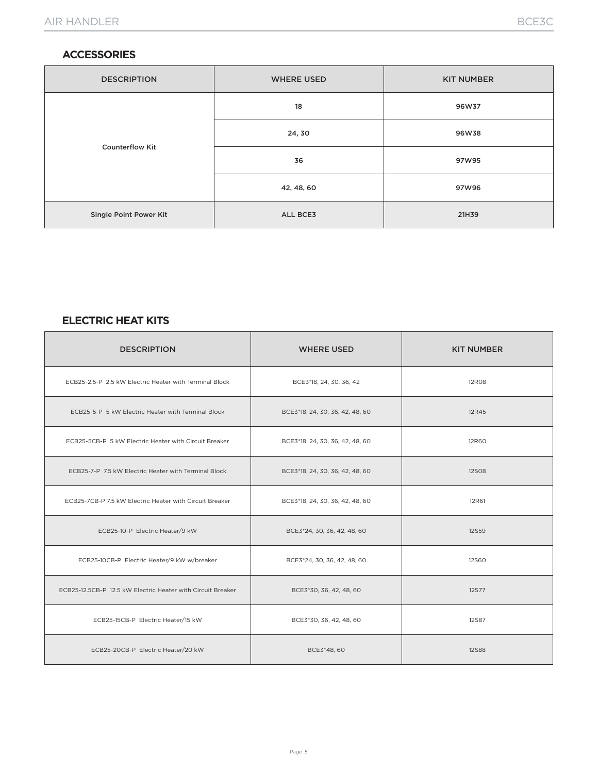#### **ACCESSORIES**

| <b>DESCRIPTION</b>     | <b>WHERE USED</b> | <b>KIT NUMBER</b> |
|------------------------|-------------------|-------------------|
|                        | 18                | 96W37             |
|                        | 24, 30            | 96W38             |
| <b>Counterflow Kit</b> | 36                | 97W95             |
|                        | 42, 48, 60        | 97W96             |
| Single Point Power Kit | ALL BCE3          | 21H39             |

#### **ELECTRIC HEAT KITS**

| <b>DESCRIPTION</b>                                          | <b>WHERE USED</b>               | <b>KIT NUMBER</b> |
|-------------------------------------------------------------|---------------------------------|-------------------|
| ECB25-2.5-P 2.5 kW Electric Heater with Terminal Block      | BCE3*18, 24, 30, 36, 42         | <b>12R08</b>      |
| ECB25-5-P 5 kW Electric Heater with Terminal Block          | BCE3*18, 24, 30, 36, 42, 48, 60 | 12R45             |
| ECB25-5CB-P 5 kW Electric Heater with Circuit Breaker       | BCE3*18, 24, 30, 36, 42, 48, 60 | 12R60             |
| ECB25-7-P 7.5 kW Electric Heater with Terminal Block        | BCE3*18, 24, 30, 36, 42, 48, 60 | <b>12SO8</b>      |
| ECB25-7CB-P 7.5 kW Electric Heater with Circuit Breaker     | BCE3*18, 24, 30, 36, 42, 48, 60 | 12R61             |
| ECB25-10-P Electric Heater/9 kW                             | BCE3*24, 30, 36, 42, 48, 60     | <b>12S59</b>      |
| ECB25-10CB-P Electric Heater/9 kW w/breaker                 | BCE3*24, 30, 36, 42, 48, 60     | <b>12S60</b>      |
| ECB25-12.5CB-P 12.5 kW Electric Heater with Circuit Breaker | BCE3*30, 36, 42, 48, 60         | <b>12S77</b>      |
| ECB25-15CB-P Electric Heater/15 kW                          | BCE3*30, 36, 42, 48, 60         | <b>12S87</b>      |
| ECB25-20CB-P Electric Heater/20 kW                          | BCE3*48, 60                     | <b>12S88</b>      |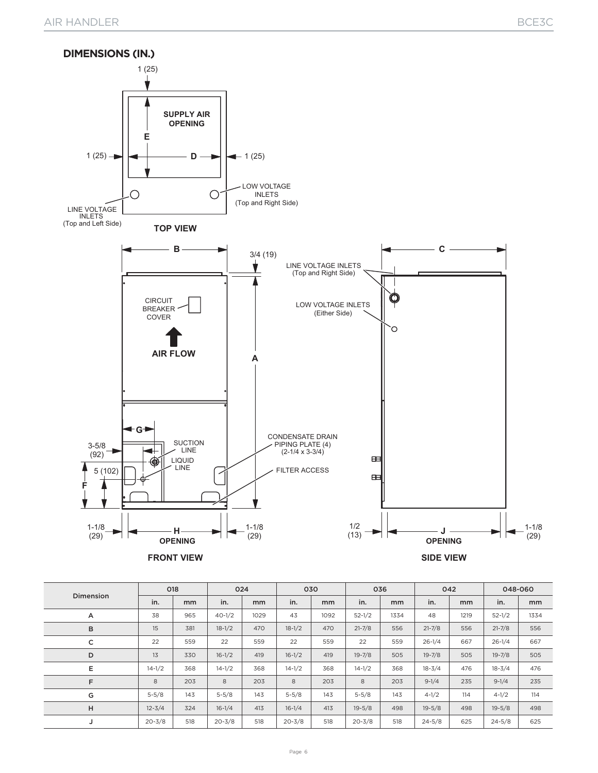

|                  | 018        |     | 024        |      | 030        |      | 036        |      | 042        |      | 048-060    |      |
|------------------|------------|-----|------------|------|------------|------|------------|------|------------|------|------------|------|
| <b>Dimension</b> | in.        | mm  | in.        | mm   | in.        | mm   | in.        | mm   | in.        | mm   | in.        | mm   |
| A                | 38         | 965 | $40-1/2$   | 1029 | 43         | 1092 | $52 - 1/2$ | 1334 | 48         | 1219 | $52 - 1/2$ | 1334 |
| в                | 15         | 381 | $18-1/2$   | 470  | $18-1/2$   | 470  | $21 - 7/8$ | 556  | $21 - 7/8$ | 556  | $21 - 7/8$ | 556  |
| с                | 22         | 559 | 22         | 559  | 22         | 559  | 22         | 559  | $26 - 1/4$ | 667  | $26 - 1/4$ | 667  |
| D                | 13         | 330 | $16 - 1/2$ | 419  | $16 - 1/2$ | 419  | $19 - 7/8$ | 505  | $19 - 7/8$ | 505  | $19 - 7/8$ | 505  |
| Е                | $14 - 1/2$ | 368 | $14 - 1/2$ | 368  | $14 - 1/2$ | 368  | $14 - 1/2$ | 368  | $18 - 3/4$ | 476  | $18 - 3/4$ | 476  |
| F                | 8          | 203 | 8          | 203  | 8          | 203  | 8          | 203  | $9 - 1/4$  | 235  | $9 - 1/4$  | 235  |
| G                | $5 - 5/8$  | 143 | $5 - 5/8$  | 143  | $5 - 5/8$  | 143  | $5 - 5/8$  | 143  | $4 - 1/2$  | 114  | $4 - 1/2$  | 114  |
| H                | $12 - 3/4$ | 324 | $16 - 1/4$ | 413  | $16 - 1/4$ | 413  | $19 - 5/8$ | 498  | $19 - 5/8$ | 498  | $19 - 5/8$ | 498  |
| J                | $20 - 3/8$ | 518 | $20 - 3/8$ | 518  | $20 - 3/8$ | 518  | $20 - 3/8$ | 518  | $24 - 5/8$ | 625  | $24 - 5/8$ | 625  |